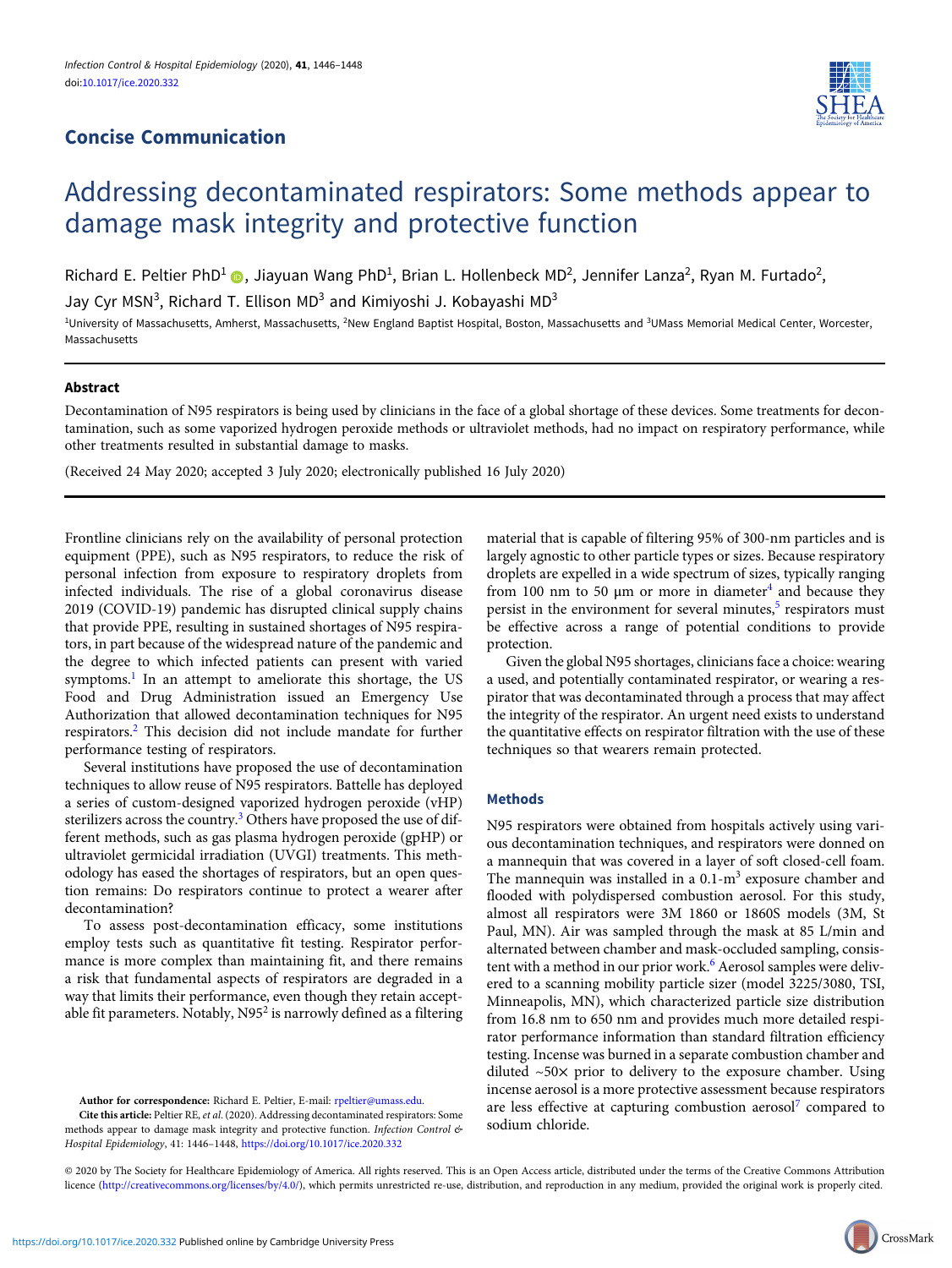# Concise Communication



# Addressing decontaminated respirators: Some methods appear to damage mask integrity and protective function

Richard E. Peltier PhD<sup>1</sup> (D), Jiayuan Wang PhD<sup>1</sup>, Brian L. Hollenbeck MD<sup>2</sup>, Jennifer Lanza<sup>2</sup>, Ryan M. Furtado<sup>2</sup>,

Jay Cyr MSN<sup>3</sup>, Richard T. Ellison MD<sup>3</sup> and Kimiyoshi J. Kobayashi MD<sup>3</sup>

<sup>1</sup>University of Massachusetts, Amherst, Massachusetts, <sup>2</sup>New England Baptist Hospital, Boston, Massachusetts and <sup>3</sup>UMass Memorial Medical Center, Worcester, Massachusetts

# Abstract

Decontamination of N95 respirators is being used by clinicians in the face of a global shortage of these devices. Some treatments for decontamination, such as some vaporized hydrogen peroxide methods or ultraviolet methods, had no impact on respiratory performance, while other treatments resulted in substantial damage to masks.

(Received 24 May 2020; accepted 3 July 2020; electronically published 16 July 2020)

Frontline clinicians rely on the availability of personal protection equipment (PPE), such as N95 respirators, to reduce the risk of personal infection from exposure to respiratory droplets from infected individuals. The rise of a global coronavirus disease 2019 (COVID-19) pandemic has disrupted clinical supply chains that provide PPE, resulting in sustained shortages of N95 respirators, in part because of the widespread nature of the pandemic and the degree to which infected patients can present with varied symptoms.<sup>[1](#page-2-0)</sup> In an attempt to ameliorate this shortage, the US Food and Drug Administration issued an Emergency Use Authorization that allowed decontamination techniques for N95 respirators.[2](#page-2-0) This decision did not include mandate for further performance testing of respirators.

Several institutions have proposed the use of decontamination techniques to allow reuse of N95 respirators. Battelle has deployed a series of custom-designed vaporized hydrogen peroxide (vHP) sterilizers across the country.<sup>[3](#page-2-0)</sup> Others have proposed the use of different methods, such as gas plasma hydrogen peroxide (gpHP) or ultraviolet germicidal irradiation (UVGI) treatments. This methodology has eased the shortages of respirators, but an open question remains: Do respirators continue to protect a wearer after decontamination?

To assess post-decontamination efficacy, some institutions employ tests such as quantitative fit testing. Respirator performance is more complex than maintaining fit, and there remains a risk that fundamental aspects of respirators are degraded in a way that limits their performance, even though they retain acceptable fit parameters. Notably,  $N95<sup>2</sup>$  is narrowly defined as a filtering

Author for correspondence: Richard E. Peltier, E-mail: [rpeltier@umass.edu](mailto:rpeltier@umass.edu).

Cite this article: Peltier RE, et al. (2020). Addressing decontaminated respirators: Some methods appear to damage mask integrity and protective function. Infection Control & Hospital Epidemiology, 41: 1446–1448, <https://doi.org/10.1017/ice.2020.332>

material that is capable of filtering 95% of 300-nm particles and is largely agnostic to other particle types or sizes. Because respiratory droplets are expelled in a wide spectrum of sizes, typically ranging from 100 nm to 50  $\mu$ m or more in diameter<sup>[4](#page-2-0)</sup> and because they persist in the environment for several minutes, $5$  respirators must be effective across a range of potential conditions to provide protection.

Given the global N95 shortages, clinicians face a choice: wearing a used, and potentially contaminated respirator, or wearing a respirator that was decontaminated through a process that may affect the integrity of the respirator. An urgent need exists to understand the quantitative effects on respirator filtration with the use of these techniques so that wearers remain protected.

## Methods

N95 respirators were obtained from hospitals actively using various decontamination techniques, and respirators were donned on a mannequin that was covered in a layer of soft closed-cell foam. The mannequin was installed in a  $0.1 \text{ m}^3$  exposure chamber and flooded with polydispersed combustion aerosol. For this study, almost all respirators were 3M 1860 or 1860S models (3M, St Paul, MN). Air was sampled through the mask at 85 L/min and alternated between chamber and mask-occluded sampling, consis-tent with a method in our prior work.<sup>[6](#page-2-0)</sup> Aerosol samples were delivered to a scanning mobility particle sizer (model 3225/3080, TSI, Minneapolis, MN), which characterized particle size distribution from 16.8 nm to 650 nm and provides much more detailed respirator performance information than standard filtration efficiency testing. Incense was burned in a separate combustion chamber and diluted  $~50\times$  prior to delivery to the exposure chamber. Using incense aerosol is a more protective assessment because respirators are less effective at capturing combustion aerosol<sup>[7](#page-2-0)</sup> compared to sodium chloride.

© 2020 by The Society for Healthcare Epidemiology of America. All rights reserved. This is an Open Access article, distributed under the terms of the Creative Commons Attribution licence [\(http://creativecommons.org/licenses/by/4.0/](http://creativecommons.org/licenses/by/4.0/)), which permits unrestricted re-use, distribution, and reproduction in any medium, provided the original work is properly cited.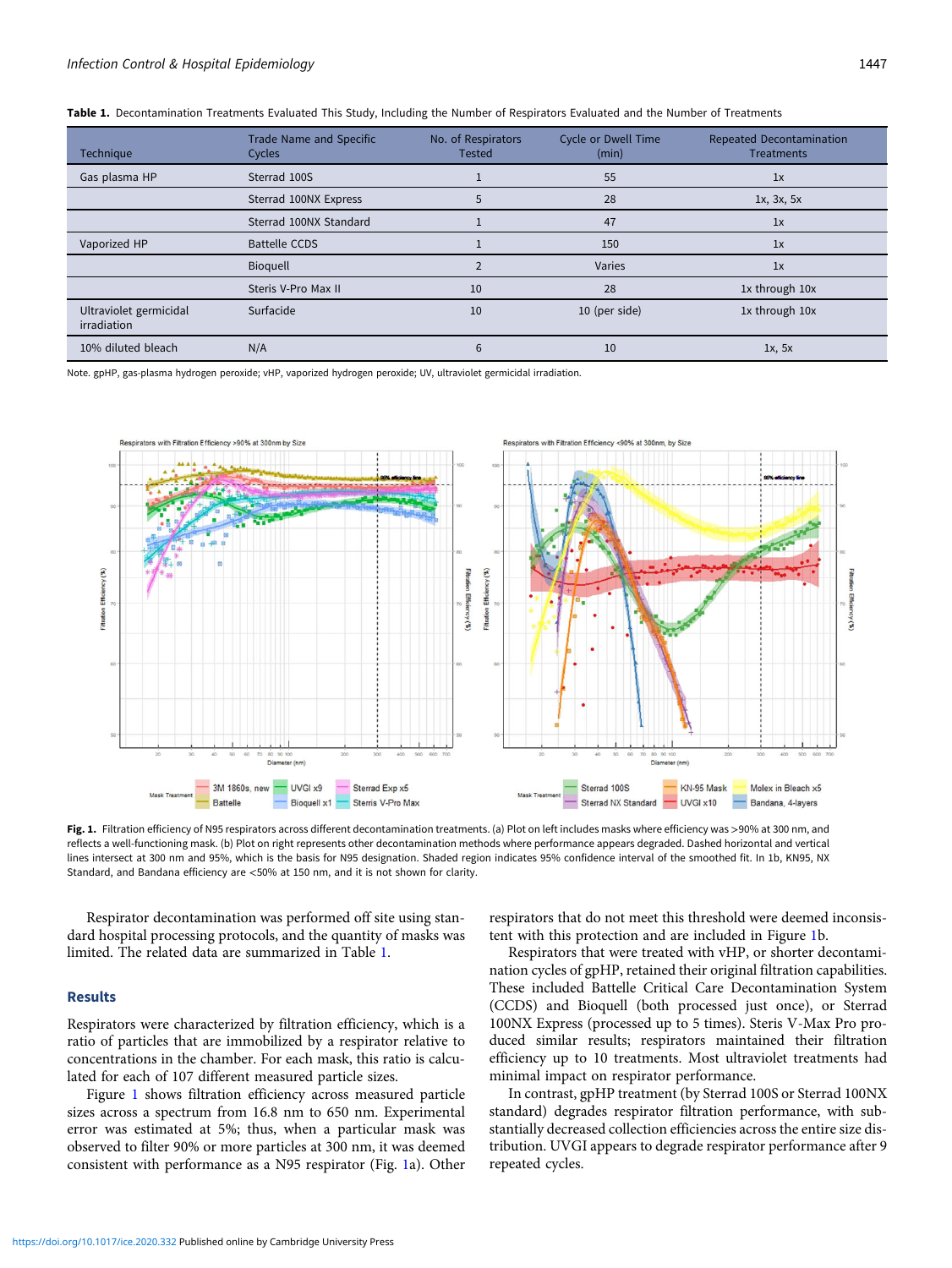| Technique                             | Trade Name and Specific<br>Cycles | No. of Respirators<br><b>Tested</b> | <b>Cycle or Dwell Time</b><br>(min) | Repeated Decontamination<br><b>Treatments</b> |  |
|---------------------------------------|-----------------------------------|-------------------------------------|-------------------------------------|-----------------------------------------------|--|
| Gas plasma HP                         | Sterrad 100S                      |                                     | 55                                  | 1x                                            |  |
|                                       | Sterrad 100NX Express             | 5                                   | 28                                  | 1x, 3x, 5x                                    |  |
|                                       | Sterrad 100NX Standard            |                                     | 47                                  | 1x                                            |  |
| Vaporized HP                          | <b>Battelle CCDS</b>              |                                     | 150                                 | 1x                                            |  |
|                                       | <b>Bioquell</b>                   |                                     | Varies                              | 1x                                            |  |
|                                       | Steris V-Pro Max II               | 10                                  | 28                                  | 1x through 10x                                |  |
| Ultraviolet germicidal<br>irradiation | Surfacide                         | 10                                  | 10 (per side)                       | 1x through 10x                                |  |
| 10% diluted bleach                    | N/A                               | 6                                   | 10                                  | 1x, 5x                                        |  |

<span id="page-1-0"></span>

|  |  | Table 1. Decontamination Treatments Evaluated This Study, Including the Number of Respirators Evaluated and the Number of Treatments |  |  |  |  |  |  |
|--|--|--------------------------------------------------------------------------------------------------------------------------------------|--|--|--|--|--|--|
|--|--|--------------------------------------------------------------------------------------------------------------------------------------|--|--|--|--|--|--|

Note. gpHP, gas-plasma hydrogen peroxide; vHP, vaporized hydrogen peroxide; UV, ultraviolet germicidal irradiation.



Fig. 1. Filtration efficiency of N95 respirators across different decontamination treatments. (a) Plot on left includes masks where efficiency was >90% at 300 nm, and reflects a well-functioning mask. (b) Plot on right represents other decontamination methods where performance appears degraded. Dashed horizontal and vertical lines intersect at 300 nm and 95%, which is the basis for N95 designation. Shaded region indicates 95% confidence interval of the smoothed fit. In 1b, KN95, NX Standard, and Bandana efficiency are <50% at 150 nm, and it is not shown for clarity.

Respirator decontamination was performed off site using standard hospital processing protocols, and the quantity of masks was limited. The related data are summarized in Table 1.

#### Results

Respirators were characterized by filtration efficiency, which is a ratio of particles that are immobilized by a respirator relative to concentrations in the chamber. For each mask, this ratio is calculated for each of 107 different measured particle sizes.

Figure 1 shows filtration efficiency across measured particle sizes across a spectrum from 16.8 nm to 650 nm. Experimental error was estimated at 5%; thus, when a particular mask was observed to filter 90% or more particles at 300 nm, it was deemed consistent with performance as a N95 respirator (Fig. 1a). Other respirators that do not meet this threshold were deemed inconsistent with this protection and are included in Figure 1b.

Respirators that were treated with vHP, or shorter decontamination cycles of gpHP, retained their original filtration capabilities. These included Battelle Critical Care Decontamination System (CCDS) and Bioquell (both processed just once), or Sterrad 100NX Express (processed up to 5 times). Steris V-Max Pro produced similar results; respirators maintained their filtration efficiency up to 10 treatments. Most ultraviolet treatments had minimal impact on respirator performance.

In contrast, gpHP treatment (by Sterrad 100S or Sterrad 100NX standard) degrades respirator filtration performance, with substantially decreased collection efficiencies across the entire size distribution. UVGI appears to degrade respirator performance after 9 repeated cycles.